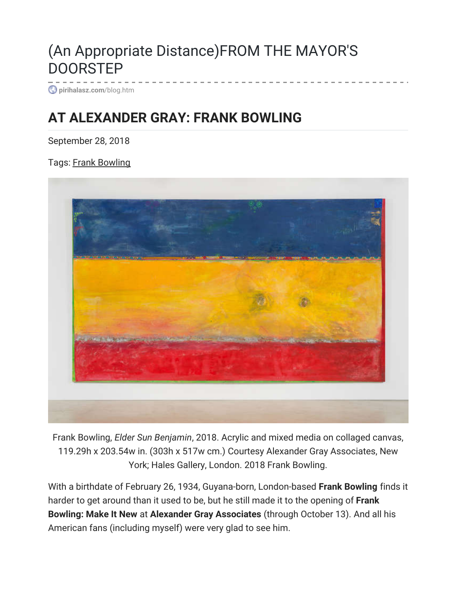## (An Appropriate Distance)FROM THE MAYOR'S **DOORSTEP**

**[pirihalasz.com](http://www.pirihalasz.com/blog.htm?post=1086234)**/blog.htm

## **[AT ALEXANDER GRAY: FRANK BOWLING](http://www.pirihalasz.com/blog.htm?post=1086234)**

September 28, 2018

Tags: [Frank Bowling](http://www.pirihalasz.com/blog.htm?tag=Frank+Bowling)



Frank Bowling, *Elder Sun Benjamin*, 2018. Acrylic and mixed media on collaged canvas, 119.29h x 203.54w in. (303h x 517w cm.) Courtesy Alexander Gray Associates, New York; Hales Gallery, London. 2018 Frank Bowling.

With a birthdate of February 26, 1934, Guyana-born, London-based **Frank Bowling** finds it harder to get around than it used to be, but he still made it to the opening of **Frank Bowling: Make It New** at **Alexander Gray Associates** (through October 13). And all his American fans (including myself) were very glad to see him.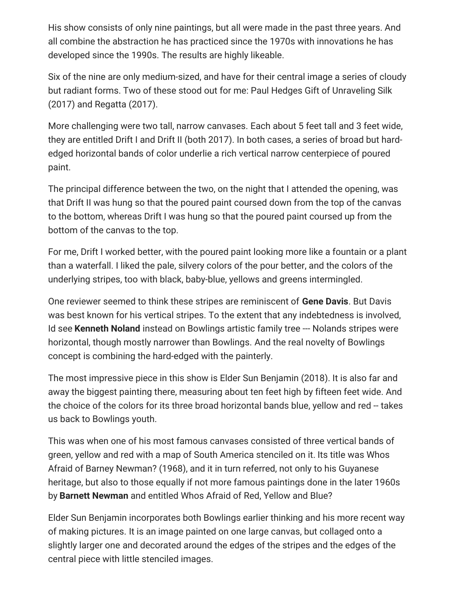His show consists of only nine paintings, but all were made in the past three years. And all combine the abstraction he has practiced since the 1970s with innovations he has developed since the 1990s. The results are highly likeable.

Six of the nine are only medium-sized, and have for their central image a series of cloudy but radiant forms. Two of these stood out for me: Paul Hedges Gift of Unraveling Silk (2017) and Regatta (2017).

More challenging were two tall, narrow canvases. Each about 5 feet tall and 3 feet wide, they are entitled Drift I and Drift II (both 2017). In both cases, a series of broad but hardedged horizontal bands of color underlie a rich vertical narrow centerpiece of poured paint.

The principal difference between the two, on the night that I attended the opening, was that Drift II was hung so that the poured paint coursed down from the top of the canvas to the bottom, whereas Drift I was hung so that the poured paint coursed up from the bottom of the canvas to the top.

For me, Drift I worked better, with the poured paint looking more like a fountain or a plant than a waterfall. I liked the pale, silvery colors of the pour better, and the colors of the underlying stripes, too with black, baby-blue, yellows and greens intermingled.

One reviewer seemed to think these stripes are reminiscent of **Gene Davis**. But Davis was best known for his vertical stripes. To the extent that any indebtedness is involved, Id see **Kenneth Noland** instead on Bowlings artistic family tree --- Nolands stripes were horizontal, though mostly narrower than Bowlings. And the real novelty of Bowlings concept is combining the hard-edged with the painterly.

The most impressive piece in this show is Elder Sun Benjamin (2018). It is also far and away the biggest painting there, measuring about ten feet high by fifteen feet wide. And the choice of the colors for its three broad horizontal bands blue, yellow and red -- takes us back to Bowlings youth.

This was when one of his most famous canvases consisted of three vertical bands of green, yellow and red with a map of South America stenciled on it. Its title was Whos Afraid of Barney Newman? (1968), and it in turn referred, not only to his Guyanese heritage, but also to those equally if not more famous paintings done in the later 1960s by **Barnett Newman** and entitled Whos Afraid of Red, Yellow and Blue?

Elder Sun Benjamin incorporates both Bowlings earlier thinking and his more recent way of making pictures. It is an image painted on one large canvas, but collaged onto a slightly larger one and decorated around the edges of the stripes and the edges of the central piece with little stenciled images.